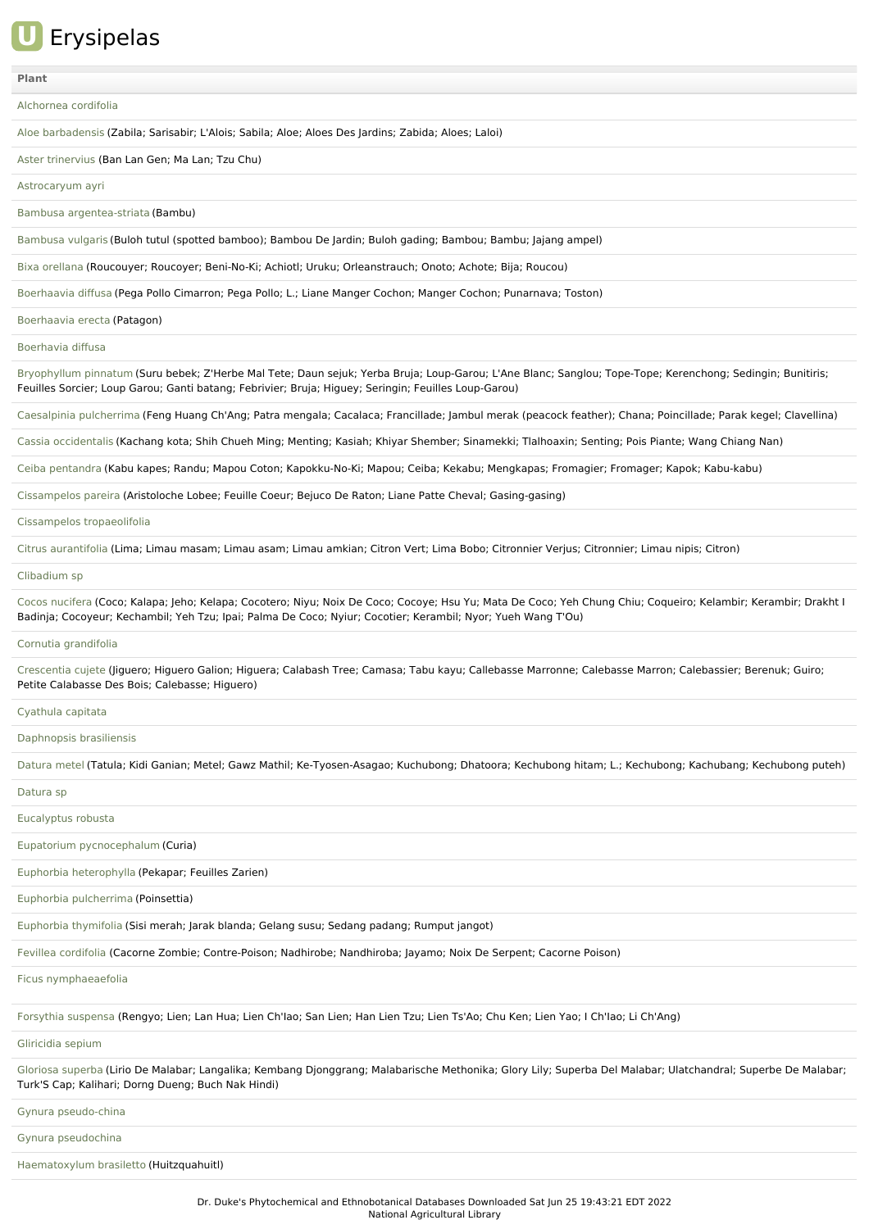

## **[Plant](file:///phytochem/ethnoActivity/ethnoActivityListAll?max=&offset=0&count=&filter=&sort=plant&order=asc)**

### [Alchornea](file:///phytochem/ethnoPlants/show/11) cordifolia

Aloe [barbadensis](file:///phytochem/ethnoPlants/show/134) (Zabila; Sarisabir; L'Alois; Sabila; Aloe; Aloes Des Jardins; Zabida; Aloes; Laloi)

Aster [trinervius](file:///phytochem/ethnoPlants/show/1135) (Ban Lan Gen; Ma Lan; Tzu Chu)

[Astrocaryum](file:///phytochem/ethnoPlants/show/6833) ayri

Bambusa [argentea-striata](file:///phytochem/ethnoPlants/show/2516) (Bambu)

[Bambusa](file:///phytochem/ethnoPlants/show/142) vulgaris (Buloh tutul (spotted bamboo); Bambou De Jardin; Buloh gading; Bambou; Bambu; Jajang ampel)

Bixa [orellana](file:///phytochem/ethnoPlants/show/584) (Roucouyer; Roucoyer; Beni-No-Ki; Achiotl; Uruku; Orleanstrauch; Onoto; Achote; Bija; Roucou)

[Boerhaavia](file:///phytochem/ethnoPlants/show/25) diffusa (Pega Pollo Cimarron; Pega Pollo; L.; Liane Manger Cochon; Manger Cochon; Punarnava; Toston)

[Boerhaavia](file:///phytochem/ethnoPlants/show/5734) erecta (Patagon)

[Boerhavia](file:///phytochem/ethnoPlants/show/6834) diffusa

[Bryophyllum](file:///phytochem/ethnoPlants/show/483) pinnatum (Suru bebek; Z'Herbe Mal Tete; Daun sejuk; Yerba Bruja; Loup-Garou; L'Ane Blanc; Sanglou; Tope-Tope; Kerenchong; Sedingin; Bunitiris; Feuilles Sorcier; Loup Garou; Ganti batang; Febrivier; Bruja; Higuey; Seringin; Feuilles Loup-Garou)

[Caesalpinia](file:///phytochem/ethnoPlants/show/146) pulcherrima (Feng Huang Ch'Ang; Patra mengala; Cacalaca; Francillade; Jambul merak (peacock feather); Chana; Poincillade; Parak kegel; Clavellina)

Cassia [occidentalis](file:///phytochem/ethnoPlants/show/152) (Kachang kota; Shih Chueh Ming; Menting; Kasiah; Khiyar Shember; Sinamekki; Tlalhoaxin; Senting; Pois Piante; Wang Chiang Nan)

Ceiba [pentandra](file:///phytochem/ethnoPlants/show/597) (Kabu kapes; Randu; Mapou Coton; Kapokku-No-Ki; Mapou; Ceiba; Kekabu; Mengkapas; Fromagier; Fromager; Kapok; Kabu-kabu)

[Cissampelos](file:///phytochem/ethnoPlants/show/1512) pareira (Aristoloche Lobee; Feuille Coeur; Bejuco De Raton; Liane Patte Cheval; Gasing-gasing)

Cissampelos [tropaeolifolia](file:///phytochem/ethnoPlants/show/3532)

Citrus [aurantifolia](file:///phytochem/ethnoPlants/show/2038) (Lima; Limau masam; Limau asam; Limau amkian; Citron Vert; Lima Bobo; Citronnier Verjus; Citronnier; Limau nipis; Citron)

[Clibadium](file:///phytochem/ethnoPlants/show/6835) sp

Cocos [nucifera](file:///phytochem/ethnoPlants/show/299) (Coco; Kalapa; Jeho; Kelapa; Cocotero; Niyu; Noix De Coco; Cocoye; Hsu Yu; Mata De Coco; Yeh Chung Chiu; Coqueiro; Kelambir; Kerambir; Drakht I Badinja; Cocoyeur; Kechambil; Yeh Tzu; Ipai; Palma De Coco; Nyiur; Cocotier; Kerambil; Nyor; Yueh Wang T'Ou)

Cornutia [grandifolia](file:///phytochem/ethnoPlants/show/2782)

[Crescentia](file:///phytochem/ethnoPlants/show/166) cujete (Jiguero; Higuero Galion; Higuera; Calabash Tree; Camasa; Tabu kayu; Callebasse Marronne; Calebasse Marron; Calebassier; Berenuk; Guiro; Petite Calabasse Des Bois; Calebasse; Higuero)

#### [Cyathula](file:///phytochem/ethnoPlants/show/1401) capitata

[Daphnopsis](file:///phytochem/ethnoPlants/show/6836) brasiliensis

[Datura](file:///phytochem/ethnoPlants/show/632) metel (Tatula; Kidi Ganian; Metel; Gawz Mathil; Ke-Tyosen-Asagao; Kuchubong; Dhatoora; Kechubong hitam; L.; Kechubong; Kachubang; Kechubong puteh)

[Datura](file:///phytochem/ethnoPlants/show/2790) sp

[Eucalyptus](file:///phytochem/ethnoPlants/show/314) robusta

Eupatorium [pycnocephalum](file:///phytochem/ethnoPlants/show/10092) (Curia)

Euphorbia [heterophylla](file:///phytochem/ethnoPlants/show/1092) (Pekapar; Feuilles Zarien)

Euphorbia [pulcherrima](file:///phytochem/ethnoPlants/show/1668) (Poinsettia)

[Euphorbia](file:///phytochem/ethnoPlants/show/178) thymifolia (Sisi merah; Jarak blanda; Gelang susu; Sedang padang; Rumput jangot)

Fevillea [cordifolia](file:///phytochem/ethnoPlants/show/1947) (Cacorne Zombie; Contre-Poison; Nadhirobe; Nandhiroba; Jayamo; Noix De Serpent; Cacorne Poison)

Ficus [nymphaeaefolia](file:///phytochem/ethnoPlants/show/1672)

[Forsythia](file:///phytochem/ethnoPlants/show/654) suspensa (Rengyo; Lien; Lan Hua; Lien Ch'Iao; San Lien; Han Lien Tzu; Lien Ts'Ao; Chu Ken; Lien Yao; I Ch'Iao; Li Ch'Ang)

[Gliricidia](file:///phytochem/ethnoPlants/show/661) sepium

[Gloriosa](file:///phytochem/ethnoPlants/show/182) superba (Lirio De Malabar; Langalika; Kembang Djonggrang; Malabarische Methonika; Glory Lily; Superba Del Malabar; Ulatchandral; Superbe De Malabar; Turk'S Cap; Kalihari; Dorng Dueng; Buch Nak Hindi)

Gynura [pseudo-china](file:///phytochem/ethnoPlants/show/6748)

Gynura [pseudochina](file:///phytochem/ethnoPlants/show/3959)

[Haematoxylum](file:///phytochem/ethnoPlants/show/3057) brasiletto (Huitzquahuitl)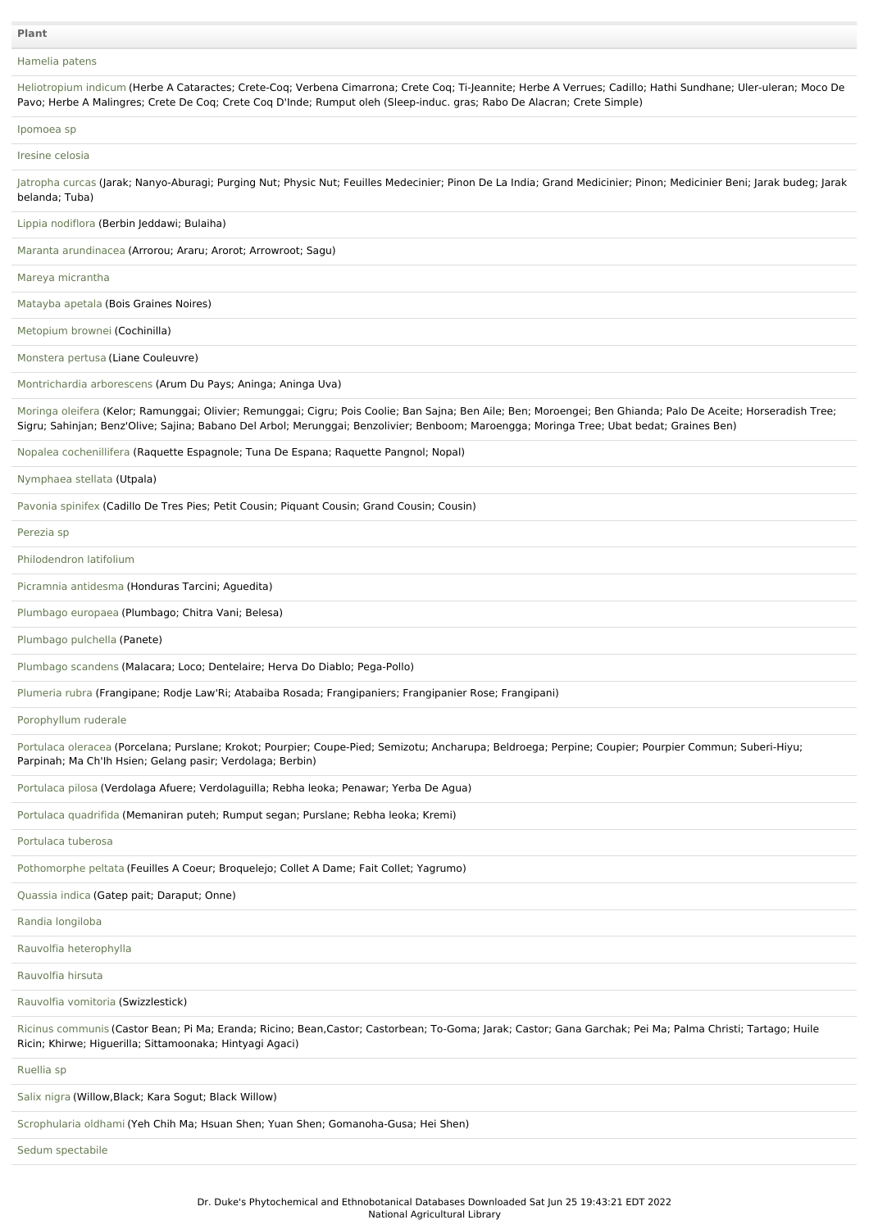# [Hamelia](file:///phytochem/ethnoPlants/show/4206) patens

| Heliotropium indicum (Herbe A Cataractes; Crete-Coq; Verbena Cimarrona; Crete Coq; Ti-Jeannite; Herbe A Verrues; Cadillo; Hathi Sundhane; Uler-uleran; Moco De<br>Pavo; Herbe A Malingres; Crete De Cog; Crete Cog D'Inde; Rumput oleh (Sleep-induc. gras; Rabo De Alacran; Crete Simple)                    |
|--------------------------------------------------------------------------------------------------------------------------------------------------------------------------------------------------------------------------------------------------------------------------------------------------------------|
| Ipomoea sp                                                                                                                                                                                                                                                                                                   |
| Iresine celosia                                                                                                                                                                                                                                                                                              |
| Jatropha curcas (Jarak; Nanyo-Aburagi; Purging Nut; Physic Nut; Feuilles Medecinier; Pinon De La India; Grand Medicinier; Pinon; Medicinier Beni; Jarak budeg; Jarak<br>belanda; Tuba)                                                                                                                       |
| Lippia nodiflora (Berbin Jeddawi; Bulaiha)                                                                                                                                                                                                                                                                   |
| Maranta arundinacea (Arrorou; Araru; Arorot; Arrowroot; Saqu)                                                                                                                                                                                                                                                |
| Mareya micrantha                                                                                                                                                                                                                                                                                             |
| Matayba apetala (Bois Graines Noires)                                                                                                                                                                                                                                                                        |
| Metopium brownei (Cochinilla)                                                                                                                                                                                                                                                                                |
| Monstera pertusa (Liane Couleuvre)                                                                                                                                                                                                                                                                           |
| Montrichardia arborescens (Arum Du Pays; Aninga; Aninga Uva)                                                                                                                                                                                                                                                 |
| Moringa oleifera (Kelor; Ramunggai; Olivier; Remunggai; Cigru; Pois Coolie; Ban Sajna; Ben Aile; Ben; Moroengei; Ben Ghianda; Palo De Aceite; Horseradish Tree;<br>Sigru; Sahinjan; Benz'Olive; Sajina; Babano Del Arbol; Merunggai; Benzolivier; Benboom; Maroengga; Moringa Tree; Ubat bedat; Graines Ben) |
| Nopalea cochenillifera (Raquette Espagnole; Tuna De Espana; Raquette Pangnol; Nopal)                                                                                                                                                                                                                         |
| Nymphaea stellata (Utpala)                                                                                                                                                                                                                                                                                   |
| Pavonia spinifex (Cadillo De Tres Pies; Petit Cousin; Piquant Cousin; Grand Cousin; Cousin)                                                                                                                                                                                                                  |
| Perezia sp                                                                                                                                                                                                                                                                                                   |
| Philodendron latifolium                                                                                                                                                                                                                                                                                      |
| Picramnia antidesma (Honduras Tarcini; Aguedita)                                                                                                                                                                                                                                                             |
| Plumbago europaea (Plumbago; Chitra Vani; Belesa)                                                                                                                                                                                                                                                            |
| Plumbago pulchella (Panete)                                                                                                                                                                                                                                                                                  |
| Plumbago scandens (Malacara; Loco; Dentelaire; Herva Do Diablo; Pega-Pollo)                                                                                                                                                                                                                                  |
| Plumeria rubra (Frangipane; Rodje Law'Ri; Atabaiba Rosada; Frangipaniers; Frangipanier Rose; Frangipani)                                                                                                                                                                                                     |
| Porophyllum ruderale                                                                                                                                                                                                                                                                                         |
| Portulaca oleracea (Porcelana; Purslane; Krokot; Pourpier; Coupe-Pied; Semizotu; Ancharupa; Beldroega; Perpine; Coupier; Pourpier Commun; Suberi-Hiyu;<br>Parpinah; Ma Ch'lh Hsien; Gelang pasir; Verdolaga; Berbin)                                                                                         |
| Portulaca pilosa (Verdolaga Afuere; Verdolaguilla; Rebha leoka; Penawar; Yerba De Agua)                                                                                                                                                                                                                      |
| Portulaca quadrifida (Memaniran puteh; Rumput segan; Purslane; Rebha leoka; Kremi)                                                                                                                                                                                                                           |
| Portulaca tuberosa                                                                                                                                                                                                                                                                                           |
| Pothomorphe peltata (Feuilles A Coeur; Broquelejo; Collet A Dame; Fait Collet; Yagrumo)                                                                                                                                                                                                                      |
| Quassia indica (Gatep pait; Daraput; Onne)                                                                                                                                                                                                                                                                   |
| Randia longiloba                                                                                                                                                                                                                                                                                             |
| Rauvolfia heterophylla                                                                                                                                                                                                                                                                                       |
| Rauvolfia hirsuta                                                                                                                                                                                                                                                                                            |
| Rauvolfia vomitoria (Swizzlestick)                                                                                                                                                                                                                                                                           |
| Ricinus communis (Castor Bean; Pi Ma; Eranda; Ricino; Bean,Castor; Castorbean; To-Goma; Jarak; Castor; Gana Garchak; Pei Ma; Palma Christi; Tartago; Huile<br>Ricin; Khirwe; Higuerilla; Sittamoonaka; Hintyagi Agaci)                                                                                       |
| Ruellia sp                                                                                                                                                                                                                                                                                                   |
| Salix nigra (Willow, Black; Kara Sogut; Black Willow)                                                                                                                                                                                                                                                        |
| Scrophularia oldhami (Yeh Chih Ma; Hsuan Shen; Yuan Shen; Gomanoha-Gusa; Hei Shen)                                                                                                                                                                                                                           |
| Sedum spectabile                                                                                                                                                                                                                                                                                             |
|                                                                                                                                                                                                                                                                                                              |